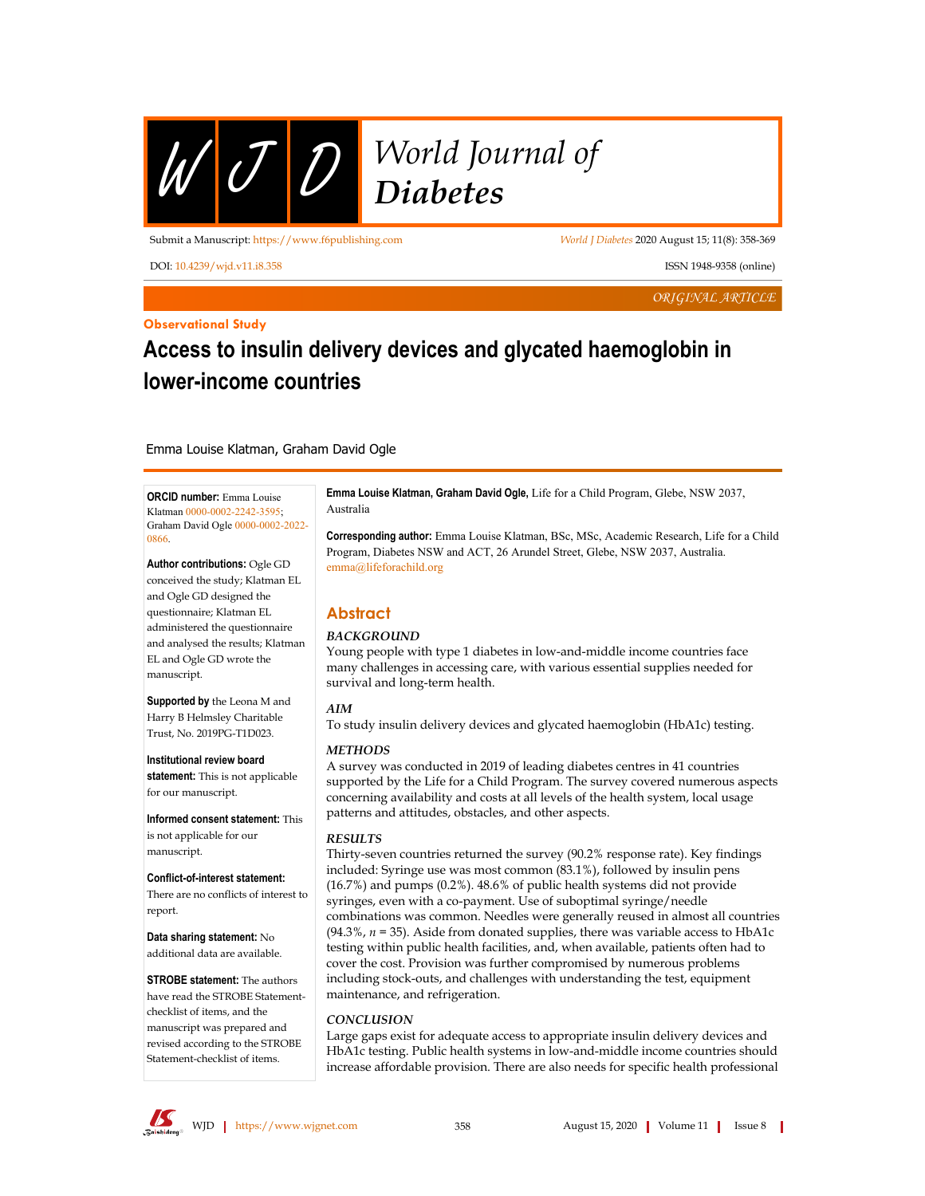

# $\mathcal{U}$   $\overline{\mathcal{U}}$   $\overline{\mathcal{D}}$   $\overline{\mathcal{U}}$   $\overline{\mathcal{U}}$   $\overline{\mathcal{U}}$   $\overline{\mathcal{U}}$   $\overline{\mathcal{U}}$   $\overline{\mathcal{U}}$   $\overline{\mathcal{U}}$   $\overline{\mathcal{U}}$   $\overline{\mathcal{U}}$   $\overline{\mathcal{U}}$   $\overline{\mathcal{U}}$   $\overline{\mathcal{U}}$   $\overline{\mathcal{U}}$   $\overline{\mathcal{U}}$   $\overline{\mathcal{U}}$   $\overline{\mathcal{$

Submit a Manuscript: https://www.f6publishing.com World J Diabetes 2020 August 15; 11(8): 358-369

DOI: 10.4239/wjd.v11.i8.358 conline) ISSN 1948-9358 (online)

ORIGINAL ARTICLE

**Observational Study** 

# Access to insulin delivery devices and glycated haemoglobin in **Lower-income countries**

#### Emma Louise Klatman, Graham David Ogle

**ORCID number:** Emma Louise Klatman [0000-0002-2242-3595;](http://orcid.org/0000-0002-2242-3595) Graham David Ogle [0000-0002-2022-](http://orcid.org/0000-0002-2022-0866) [0866](http://orcid.org/0000-0002-2022-0866).

Author contributions: Ogle GD conceived the study; Klatman EL and Ogle GD designed the questionnaire; Klatman EL administered the questionnaire and analysed the results; Klatman EL and Ogle GD wrote the manuscript.

Supported by the Leona M and Harry B Helmsley Charitable Trust, No. 2019PG-T1D023.

Institutional review board statement: This is not applicable for our manuscript.

Informed consent statement: This is not applicable for our manuscript.

Conflict-of-interest statement: There are no conflicts of interest to report.

Data sharing statement: No additional data are available.

STROBE statement: The authors have read the STROBE Statementchecklist of items, and the manuscript was prepared and revised according to the STROBE Statement-checklist of items.

Emma Louise Klatman, Graham David Ogle, Life for a Child Program, Glebe, NSW 2037, Australia

Corresponding author: Emma Louise Klatman, BSc, MSc, Academic Research, Life for a Child Program, Diabetes NSW and ACT, 26 Arundel Street, Glebe, NSW 2037, Australia. emma@lifeforachild.org

# **Abstract**

# **BACKGROUND**

Young people with type 1 diabetes in low-and-middle income countries face many challenges in accessing care, with various essential supplies needed for survival and long-term health.

# AIM

To study insulin delivery devices and glycated haemoglobin (HbA1c) testing.

# **METHODS**

A survey was conducted in 2019 of leading diabetes centres in 41 countries supported by the Life for a Child Program. The survey covered numerous aspects concerning availability and costs at all levels of the health system, local usage patterns and attitudes, obstacles, and other aspects.

# **RESILTS**

Thirty-seven countries returned the survey (90.2% response rate). Key findings included: Syringe use was most common (83.1%), followed by insulin pens (16.7%) and pumps (0.2%).  $48.6\%$  of public health systems did not provide syringes, even with a co-payment. Use of suboptimal syringe/needle combinations was common. Needles were generally reused in almost all countries (94.3%,  $n = 35$ ). Aside from donated supplies, there was variable access to HbA1c testing within public health facilities, and, when available, patients often had to cover the cost. Provision was further compromised by numerous problems including stock-outs, and challenges with understanding the test, equipment maintenance, and refrigeration.

#### CONCLUSION

Large gaps exist for adequate access to appropriate insulin delivery devices and HbA1c testing. Public health systems in low-and-middle income countries should increase affordable provision. There are also needs for specific health professional

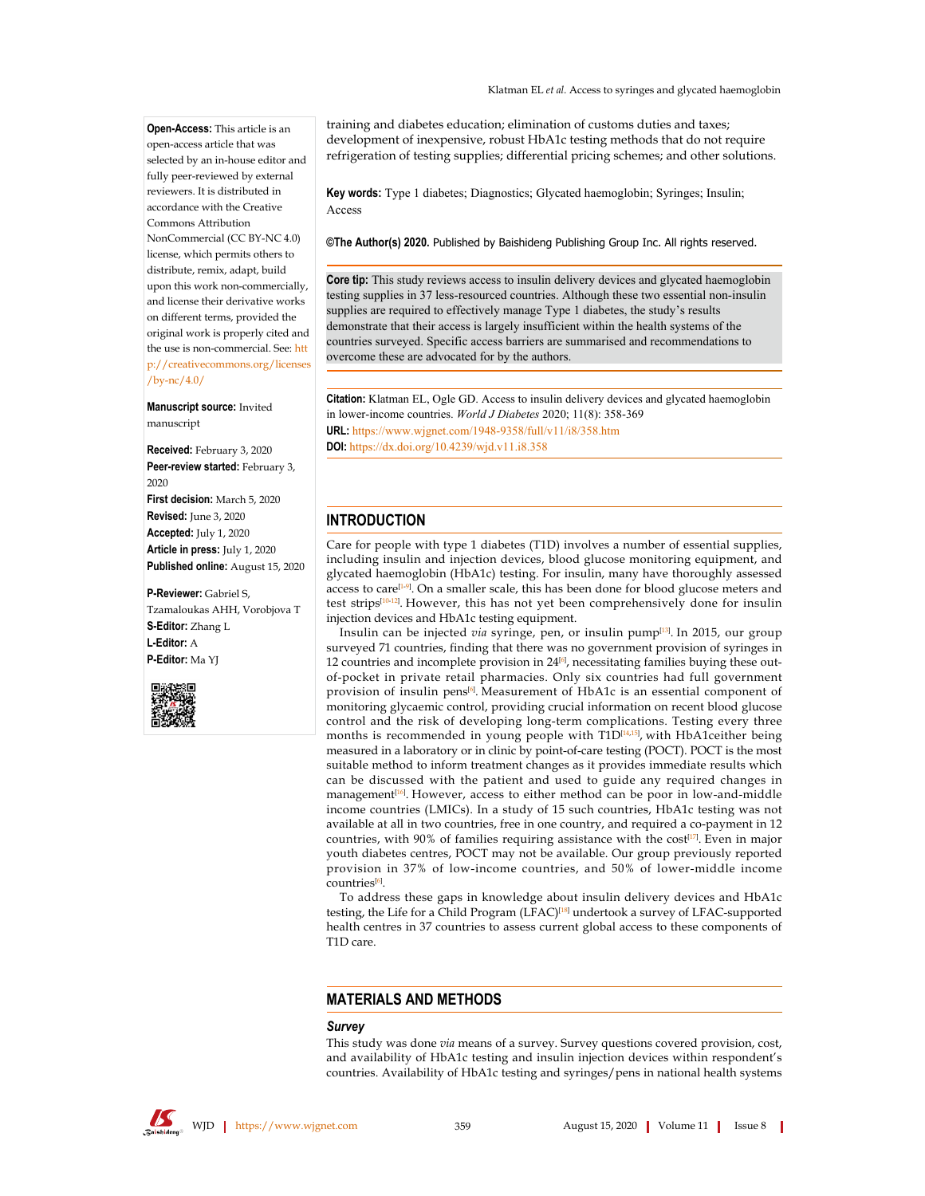Open-Access: This article is an open-access article that was selected by an in-house editor and fully peer-reviewed by external reviewers. It is distributed in accordance with the Creative Commons Attribution NonCommercial (CC BY-NC 4.0) license, which permits others to distribute, remix, adapt, build upon this work non-commercially, and license their derivative works on different terms, provided the original work is properly cited and the use is non-commercial. See: htt p://creativecommons.org/licenses /bv- $nc/4.0/$ 

#### Manuscript source: Invited manuscript

Received: February 3, 2020 Peer-review started: February 3, 2020 First decision: March 5, 2020 Revised: June 3, 2020 Accepted: July 1, 2020 Article in press: July 1, 2020 Published online: August 15, 2020

#### P-Reviewer: Gabriel S,

Tzamaloukas AHH, Vorobjova T S-Editor: Zhang L L-Editor: A P-Editor: Ma YJ



training and diabetes education; elimination of customs duties and taxes; development of inexpensive, robust HbA1c testing methods that do not require refrigeration of testing supplies; differential pricing schemes; and other solutions.

Key words: Type 1 diabetes; Diagnostics; Glycated haemoglobin; Syringes; Insulin; Access

©The Author(s) 2020. Published by Baishideng Publishing Group Inc. All rights reserved.

Core tip: This study reviews access to insulin delivery devices and glycated haemoglobin testing supplies in 37 less-resourced countries. Although these two essential non-insulin supplies are required to effectively manage Type 1 diabetes, the study's results demonstrate that their access is largely insufficient within the health systems of the countries surveyed. Specific access barriers are summarised and recommendations to overcome these are advocated for by the authors.

Citation: Klatman EL, Ogle GD. Access to insulin delivery devices and glycated haemoglobin in lower-income countries. World J Diabetes 2020; 11(8): 358-369 URL: https://www.wjgnet.com/1948-9358/full/v11/i8/358.htm DOI: https://dx.doi.org/10.4239/wid.v11.i8.358

# **INTRODUCTION**

Care for people with type 1 diabetes (T1D) involves a number of essential supplies, including insulin and injection devices, blood glucose monitoring equipment, and glycated haemoglobin (HbA1c) testing. For insulin, many have thoroughly assessed access to care<sup>[1.9]</sup>. On a smaller scale, this has been done for blood glucose meters and test strips<sup>[10-12]</sup>. However, this has not yet been comprehensively done for insulin injection devices and HbA1c testing equipment.

Insulin can be injected via syringe, pen, or insulin pump<sup>[13]</sup>. In 2015, our group surveyed 71 countries, finding that there was no government provision of syringes in 12 countries and incomplete provision in 24<sup>[6]</sup>, necessitating families buying these outof-pocket in private retail pharmacies. Only six countries had full government provision of insulin pens<sup>[6]</sup>. Measurement of HbA1c is an essential component of monitoring glycaemic control, providing crucial information on recent blood glucose control and the risk of developing long-term complications. Testing every three months is recommended in young people with T1D[14,15], with HbA1ceither being measured in a laboratory or in clinic by point-of-care testing (POCT). POCT is the most suitable method to inform treatment changes as it provides immediate results which can be discussed with the patient and used to guide any required changes in management<sup>[16]</sup>. However, access to either method can be poor in low-and-middle income countries (LMICs). In a study of 15 such countries, HbA1c testing was not available at all in two countries, free in one country, and required a co-payment in 12 countries, with 90% of families requiring assistance with the cost[17]. Even in major youth diabetes centres, POCT may not be available. Our group previously reported provision in 37% of low-income countries, and 50% of lower-middle income countries<sup>[6]</sup>.

To address these gaps in knowledge about insulin delivery devices and HbA1c testing, the Life for a Child Program (LFAC)<sup>[18]</sup> undertook a survey of LFAC-supported health centres in 37 countries to assess current global access to these components of T1D care.

# **MATERIALS AND METHODS**

#### **Survey**

This study was done via means of a survey. Survey questions covered provision, cost, and availability of HbA1c testing and insulin injection devices within respondent's countries. Availability of HbA1c testing and syringes/pens in national health systems

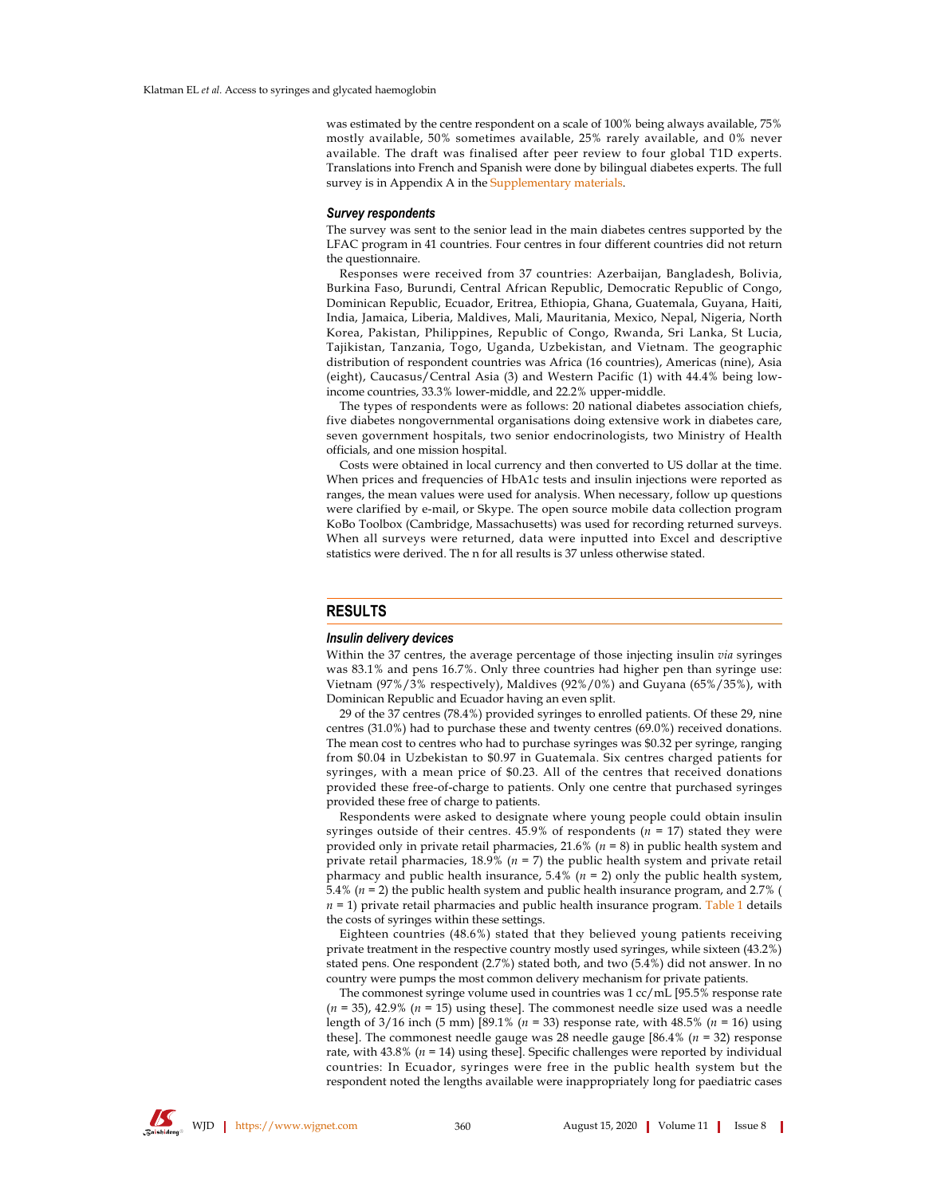was estimated by the centre respondent on a scale of 100% being always available, 75% mostly available, 50% sometimes available, 25% rarely available, and 0% never available. The draft was finalised after peer review to four global T1D experts. Translations into French and Spanish were done by bilingual diabetes experts. The full survey is in Appendix A in the Supplementary materials.

#### **Survey respondents**

The survey was sent to the senior lead in the main diabetes centres supported by the LFAC program in 41 countries. Four centres in four different countries did not return the questionnaire.

Responses were received from 37 countries: Azerbaijan, Bangladesh, Bolivia, Burkina Faso, Burundi, Central African Republic, Democratic Republic of Congo, Dominican Republic, Ecuador, Eritrea, Ethiopia, Ghana, Guatemala, Guyana, Haiti, India, Jamaica, Liberia, Maldives, Mali, Mauritania, Mexico, Nepal, Nigeria, North Korea, Pakistan, Philippines, Republic of Congo, Rwanda, Sri Lanka, St Lucia, Tajikistan, Tanzania, Togo, Uganda, Uzbekistan, and Vietnam. The geographic distribution of respondent countries was Africa (16 countries), Americas (nine), Asia (eight), Caucasus/Central Asia (3) and Western Pacific (1) with 44.4% being lowincome countries, 33.3% lower-middle, and 22.2% upper-middle.

The types of respondents were as follows: 20 national diabetes association chiefs, five diabetes nongovernmental organisations doing extensive work in diabetes care, seven government hospitals, two senior endocrinologists, two Ministry of Health officials, and one mission hospital.

Costs were obtained in local currency and then converted to US dollar at the time. When prices and frequencies of HbA1c tests and insulin injections were reported as ranges, the mean values were used for analysis. When necessary, follow up questions were clarified by e-mail, or Skype. The open source mobile data collection program KoBo Toolbox (Cambridge, Massachusetts) was used for recording returned surveys. When all surveys were returned, data were inputted into Excel and descriptive statistics were derived. The n for all results is 37 unless otherwise stated.

#### **RESULTS**

#### Insulin delivery devices

Within the 37 centres, the average percentage of those injecting insulin via syringes was 83.1% and pens 16.7%. Only three countries had higher pen than syringe use: Vietnam (97%/3% respectively), Maldives (92%/0%) and Guyana (65%/35%), with Dominican Republic and Ecuador having an even split.

29 of the 37 centres (78.4%) provided syringes to enrolled patients. Of these 29, nine centres (31.0%) had to purchase these and twenty centres (69.0%) received donations. The mean cost to centres who had to purchase syringes was \$0.32 per syringe, ranging from \$0.04 in Uzbekistan to \$0.97 in Guatemala. Six centres charged patients for syringes, with a mean price of \$0.23. All of the centres that received donations provided these free-of-charge to patients. Only one centre that purchased syringes provided these free of charge to patients.

Respondents were asked to designate where young people could obtain insulin syringes outside of their centres. 45.9% of respondents ( $n = 17$ ) stated they were provided only in private retail pharmacies, 21.6% ( $n = 8$ ) in public health system and private retail pharmacies, 18.9% ( $n = 7$ ) the public health system and private retail pharmacy and public health insurance, 5.4% ( $n = 2$ ) only the public health system, 5.4% ( $n = 2$ ) the public health system and public health insurance program, and 2.7% (  $n = 1$ ) private retail pharmacies and public health insurance program. Table 1 details the costs of syringes within these settings.

Eighteen countries (48.6%) stated that they believed young patients receiving private treatment in the respective country mostly used syringes, while sixteen (43.2%) stated pens. One respondent (2.7%) stated both, and two (5.4%) did not answer. In no country were pumps the most common delivery mechanism for private patients.

The commonest syringe volume used in countries was 1 cc/mL [95.5% response rate  $(n = 35)$ , 42.9%  $(n = 15)$  using these]. The commonest needle size used was a needle length of  $3/16$  inch (5 mm) [89.1% ( $n = 33$ ) response rate, with 48.5% ( $n = 16$ ) using these]. The commonest needle gauge was 28 needle gauge [86.4% ( $n = 32$ ) response rate, with  $43.8\%$  ( $n = 14$ ) using these]. Specific challenges were reported by individual countries: In Ecuador, syringes were free in the public health system but the respondent noted the lengths available were inappropriately long for paediatric cases

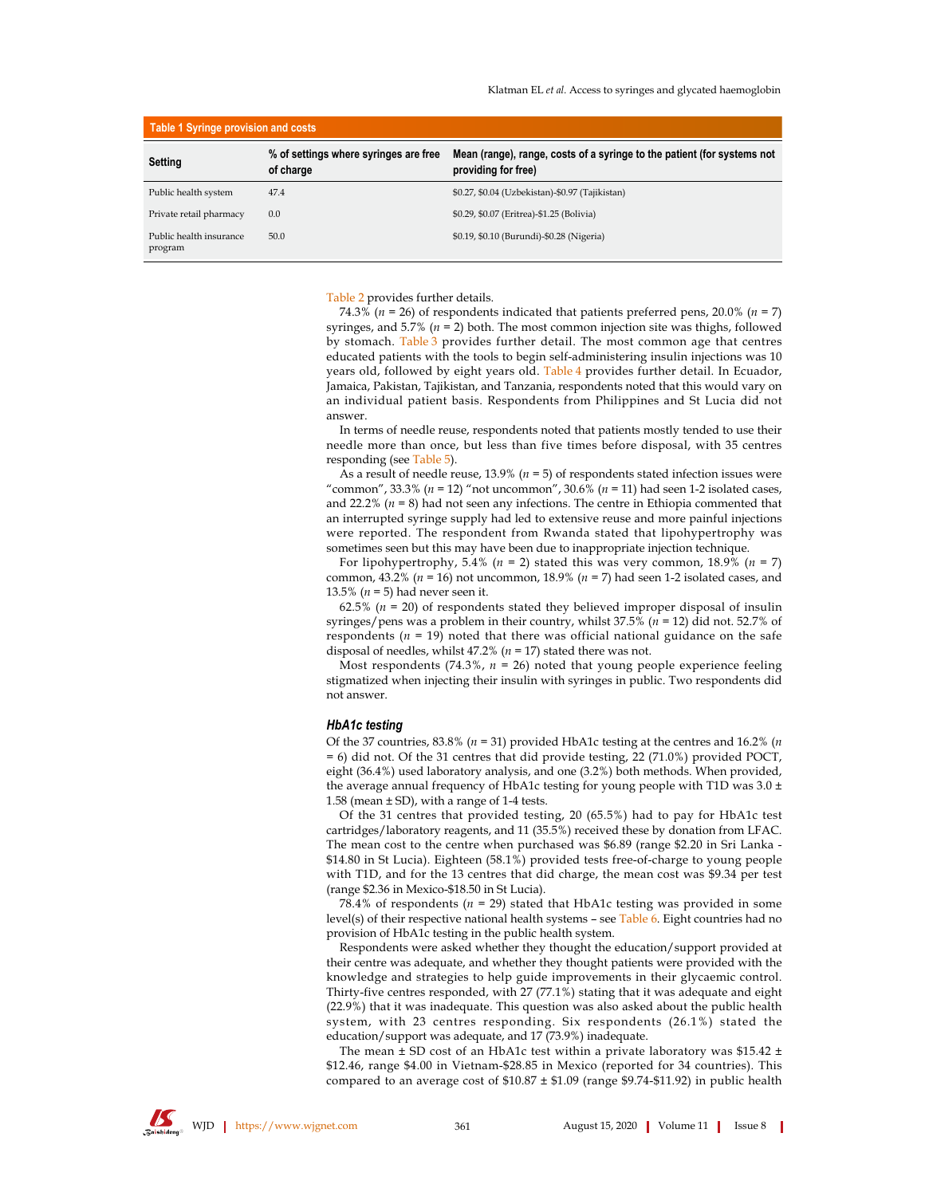| Table 1 Syringe provision and costs |                                                    |                                                                                                |  |  |  |
|-------------------------------------|----------------------------------------------------|------------------------------------------------------------------------------------------------|--|--|--|
| Setting                             | % of settings where syringes are free<br>of charge | Mean (range), range, costs of a syringe to the patient (for systems not<br>providing for free) |  |  |  |
| Public health system                | 47.4                                               | \$0.27, \$0.04 (Uzbekistan)-\$0.97 (Tajikistan)                                                |  |  |  |
| Private retail pharmacy             | 0.0                                                | \$0.29, \$0.07 (Eritrea)-\$1.25 (Bolivia)                                                      |  |  |  |
| Public health insurance<br>program  | 50.0                                               | \$0.19, \$0.10 (Burundi)-\$0.28 (Nigeria)                                                      |  |  |  |

Table 2 provides further details.

74.3% ( $n = 26$ ) of respondents indicated that patients preferred pens, 20.0% ( $n = 7$ ) syringes, and 5.7% ( $n = 2$ ) both. The most common injection site was thighs, followed by stomach. Table 3 provides further detail. The most common age that centres educated patients with the tools to begin self-administering insulin injections was 10 years old, followed by eight years old. Table 4 provides further detail. In Ecuador, Jamaica, Pakistan, Tajikistan, and Tanzania, respondents noted that this would vary on an individual patient basis. Respondents from Philippines and St Lucia did not answer

In terms of needle reuse, respondents noted that patients mostly tended to use their needle more than once, but less than five times before disposal, with 35 centres responding (see Table 5).

As a result of needle reuse, 13.9% ( $n = 5$ ) of respondents stated infection issues were "common", 33.3% ( $n = 12$ ) "not uncommon", 30.6% ( $n = 11$ ) had seen 1-2 isolated cases, and 22.2% ( $n = 8$ ) had not seen any infections. The centre in Ethiopia commented that an interrupted syringe supply had led to extensive reuse and more painful injections were reported. The respondent from Rwanda stated that lipohypertrophy was sometimes seen but this may have been due to inappropriate injection technique.

For lipohypertrophy, 5.4% (n = 2) stated this was very common, 18.9% (n = 7) common, 43.2% ( $n = 16$ ) not uncommon, 18.9% ( $n = 7$ ) had seen 1-2 isolated cases, and 13.5% ( $n = 5$ ) had never seen it.

62.5% ( $n = 20$ ) of respondents stated they believed improper disposal of insulin syringes/pens was a problem in their country, whilst  $37.5\%$  (n = 12) did not. 52.7% of respondents ( $n = 19$ ) noted that there was official national guidance on the safe disposal of needles, whilst 47.2% ( $n = 17$ ) stated there was not.

Most respondents (74.3%,  $n = 26$ ) noted that young people experience feeling stigmatized when injecting their insulin with syringes in public. Two respondents did not answer.

#### HbA1c testing

Of the 37 countries, 83.8% ( $n = 31$ ) provided HbA1c testing at the centres and 16.2% (n  $= 6$ ) did not. Of the 31 centres that did provide testing, 22 (71.0%) provided POCT, eight  $(36.4\%)$  used laboratory analysis, and one  $(3.2\%)$  both methods. When provided, the average annual frequency of HbA1c testing for young people with T1D was 3.0  $\pm$ 1.58 (mean  $\pm$  SD), with a range of 1-4 tests.

Of the 31 centres that provided testing, 20 (65.5%) had to pay for HbA1c test cartridges/laboratory reagents, and 11 (35.5%) received these by donation from LFAC. The mean cost to the centre when purchased was  $$6.89$  (range  $$2.20$  in Sri Lanka -\$14.80 in St Lucia). Eighteen (58.1%) provided tests free-of-charge to young people with T1D, and for the 13 centres that did charge, the mean cost was \$9.34 per test (range \$2.36 in Mexico-\$18.50 in St Lucia).

78.4% of respondents ( $n = 29$ ) stated that HbA1c testing was provided in some level(s) of their respective national health systems  $-$  see Table 6. Eight countries had no provision of HbA1c testing in the public health system.

Respondents were asked whether they thought the education/support provided at their centre was adequate, and whether they thought patients were provided with the knowledge and strategies to help guide improvements in their glycaemic control. Thirty-five centres responded, with 27 (77.1%) stating that it was adequate and eight  $(22.9%)$  that it was inadequate. This question was also asked about the public health system, with 23 centres responding. Six respondents (26.1%) stated the education/support was adequate, and 17 (73.9%) inadequate.

The mean  $\pm$  SD cost of an HbA1c test within a private laboratory was \$15.42  $\pm$ \$12.46, range \$4.00 in Vietnam-\$28.85 in Mexico (reported for 34 countries). This compared to an average cost of  $$10.87 \pm $1.09$  (range \$9.74-\$11.92) in public health

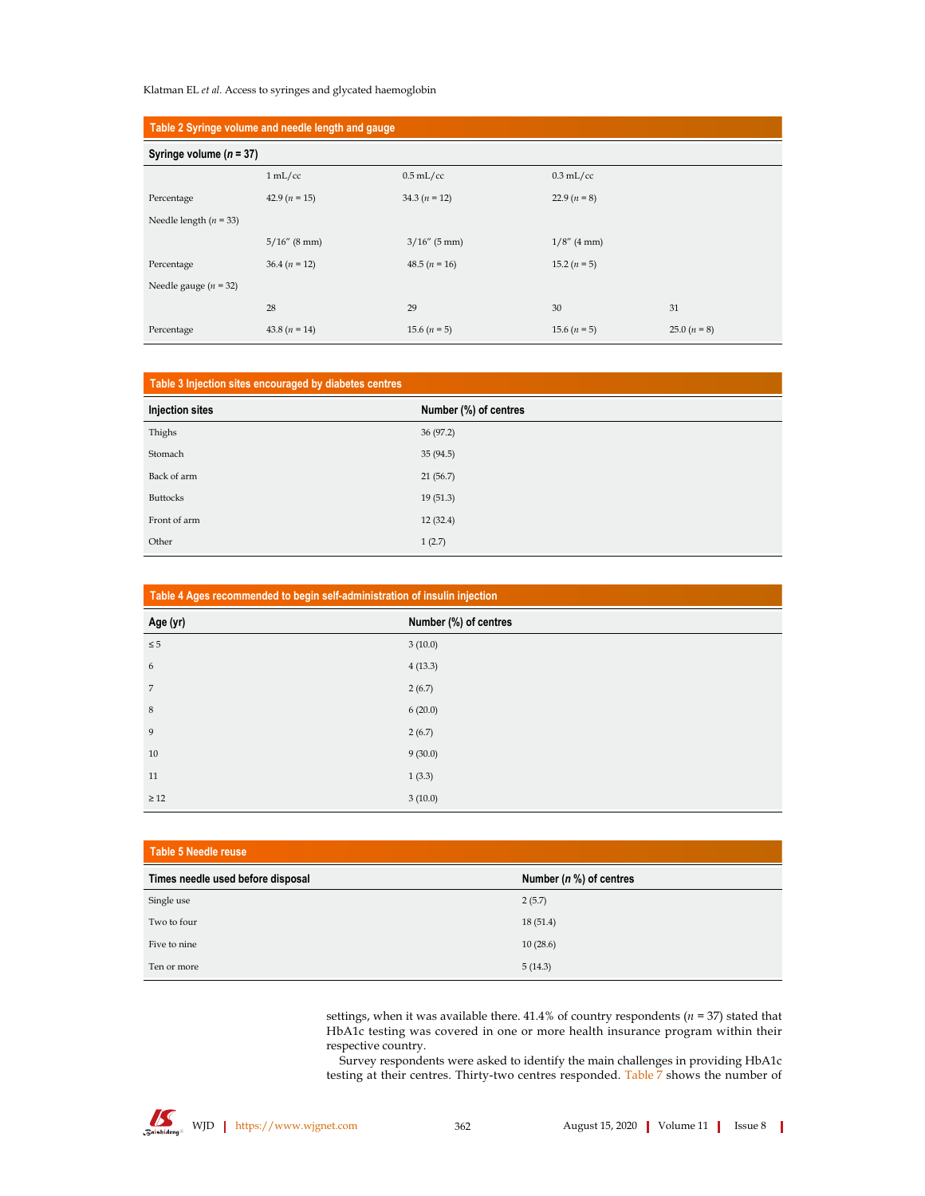## Klatman EL et al. Access to syringes and glycated haemoglobin

| Table 2 Syringe volume and needle length and gauge |                 |                 |                |                |  |
|----------------------------------------------------|-----------------|-----------------|----------------|----------------|--|
| Syringe volume ( $n = 37$ )                        |                 |                 |                |                |  |
|                                                    | 1 mL/cc         | $0.5$ mL/cc     | $0.3$ mL/cc    |                |  |
| Percentage                                         | 42.9 $(n = 15)$ | 34.3 $(n = 12)$ | 22.9 $(n = 8)$ |                |  |
| Needle length $(n = 33)$                           |                 |                 |                |                |  |
|                                                    | $5/16''$ (8 mm) | $3/16''$ (5 mm) | $1/8''$ (4 mm) |                |  |
| Percentage                                         | $36.4 (n = 12)$ | 48.5 $(n = 16)$ | 15.2 $(n = 5)$ |                |  |
| Needle gauge ( $n = 32$ )                          |                 |                 |                |                |  |
|                                                    | 28              | 29              | 30             | 31             |  |
| Percentage                                         | 43.8 $(n = 14)$ | 15.6 $(n = 5)$  | 15.6 $(n = 5)$ | 25.0 $(n = 8)$ |  |

| Table 3 Injection sites encouraged by diabetes centres |                       |  |  |
|--------------------------------------------------------|-----------------------|--|--|
| Injection sites                                        | Number (%) of centres |  |  |
| Thighs                                                 | 36(97.2)              |  |  |
| Stomach                                                | 35(94.5)              |  |  |
| Back of arm                                            | 21(56.7)              |  |  |
| <b>Buttocks</b>                                        | 19(51.3)              |  |  |
| Front of arm                                           | 12(32.4)              |  |  |
| Other                                                  | 1(2.7)                |  |  |

| Table 4 Ages recommended to begin self-administration of insulin injection |                       |  |  |
|----------------------------------------------------------------------------|-----------------------|--|--|
| Age (yr)                                                                   | Number (%) of centres |  |  |
| $\leq 5$                                                                   | 3(10.0)               |  |  |
| 6                                                                          | 4(13.3)               |  |  |
| $\overline{7}$                                                             | 2(6.7)                |  |  |
| $\,$ 8 $\,$                                                                | 6(20.0)               |  |  |
| 9                                                                          | 2(6.7)                |  |  |
| 10                                                                         | 9(30.0)               |  |  |
| 11                                                                         | 1(3.3)                |  |  |
| $\geq 12$                                                                  | 3(10.0)               |  |  |

| Table 5 Needle reuse              |                            |  |  |  |  |
|-----------------------------------|----------------------------|--|--|--|--|
| Times needle used before disposal | Number ( $n$ %) of centres |  |  |  |  |
| Single use                        | 2(5.7)                     |  |  |  |  |
| Two to four                       | 18(51.4)                   |  |  |  |  |
| Five to nine                      | 10(28.6)                   |  |  |  |  |
| Ten or more                       | 5(14.3)                    |  |  |  |  |

settings, when it was available there. 41.4% of country respondents ( $n = 37$ ) stated that HbA1c testing was covered in one or more health insurance program within their respective country.

Survey respondents were asked to identify the main challenges in providing  $HbA1c$ testing at their centres. Thirty-two centres responded. Table 7 shows the number of

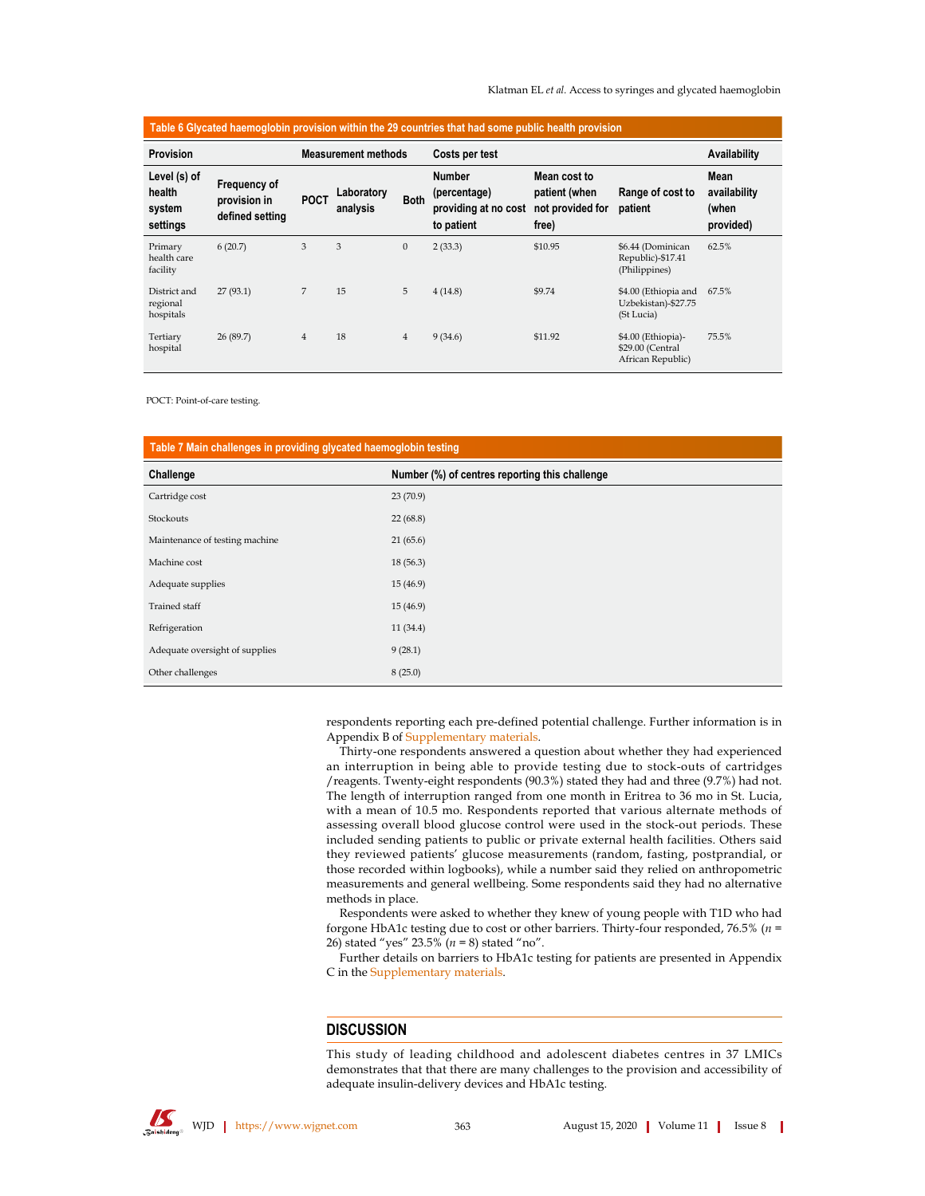| Table 6 Glycated haemoglobin provision within the 29 countries that had some public health provision |                                                 |                |                        |                |                                                                     |                                                            |                                                             |                                            |
|------------------------------------------------------------------------------------------------------|-------------------------------------------------|----------------|------------------------|----------------|---------------------------------------------------------------------|------------------------------------------------------------|-------------------------------------------------------------|--------------------------------------------|
| Provision<br><b>Measurement methods</b>                                                              |                                                 |                | Costs per test         |                |                                                                     | Availability                                               |                                                             |                                            |
| Level (s) of<br>health<br>system<br>settings                                                         | Frequency of<br>provision in<br>defined setting | <b>POCT</b>    | Laboratory<br>analysis | <b>Both</b>    | <b>Number</b><br>(percentage)<br>providing at no cost<br>to patient | Mean cost to<br>patient (when<br>not provided for<br>free) | Range of cost to<br>patient                                 | Mean<br>availability<br>(when<br>provided) |
| Primary<br>health care<br>facility                                                                   | 6(20.7)                                         | 3              | 3                      | $\mathbf{0}$   | 2(33.3)                                                             | \$10.95                                                    | \$6.44 (Dominican<br>Republic)-\$17.41<br>(Philippines)     | 62.5%                                      |
| District and<br>regional<br>hospitals                                                                | 27(93.1)                                        | 7              | 15                     | 5              | 4(14.8)                                                             | \$9.74                                                     | \$4.00 (Ethiopia and<br>Uzbekistan)-\$27.75<br>(St Lucia)   | 67.5%                                      |
| Tertiary<br>hospital                                                                                 | 26(89.7)                                        | $\overline{4}$ | 18                     | $\overline{4}$ | 9(34.6)                                                             | \$11.92                                                    | \$4.00 (Ethiopia)-<br>\$29.00 (Central<br>African Republic) | 75.5%                                      |

POCT: Point-of-care testing.

| Table 7 Main challenges in providing glycated haemoglobin testing |                                                |  |  |
|-------------------------------------------------------------------|------------------------------------------------|--|--|
| Challenge                                                         | Number (%) of centres reporting this challenge |  |  |
| Cartridge cost                                                    | 23(70.9)                                       |  |  |
| Stockouts                                                         | 22(68.8)                                       |  |  |
| Maintenance of testing machine                                    | 21(65.6)                                       |  |  |
| Machine cost                                                      | 18(56.3)                                       |  |  |
| Adequate supplies                                                 | 15(46.9)                                       |  |  |
| <b>Trained staff</b>                                              | 15(46.9)                                       |  |  |
| Refrigeration                                                     | 11(34.4)                                       |  |  |
| Adequate oversight of supplies                                    | 9(28.1)                                        |  |  |
| Other challenges                                                  | 8(25.0)                                        |  |  |

respondents reporting each pre-defined potential challenge. Further information is in Appendix B of Supplementary materials.

Thirty-one respondents answered a question about whether they had experienced an interruption in being able to provide testing due to stock-outs of cartridges /reagents. Twenty-eight respondents (90.3%) stated they had and three (9.7%) had not. The length of interruption ranged from one month in Eritrea to 36 mo in St. Lucia, with a mean of 10.5 mo. Respondents reported that various alternate methods of assessing overall blood glucose control were used in the stock-out periods. These included sending patients to public or private external health facilities. Others said they reviewed patients' glucose measurements (random, fasting, postprandial, or those recorded within logbooks), while a number said they relied on anthropometric measurements and general wellbeing. Some respondents said they had no alternative methods in place.

Respondents were asked to whether they knew of young people with T1D who had forgone HbA1c testing due to cost or other barriers. Thirty-four responded, 76.5% ( $n =$ 26) stated "yes" 23.5% ( $n = 8$ ) stated "no".

Further details on barriers to HbA1c testing for patients are presented in Appendix C in the Supplementary materials.

# **DISCUSSION**

This study of leading childhood and adolescent diabetes centres in 37 LMICs demonstrates that that there are many challenges to the provision and accessibility of adequate insulin-delivery devices and HbA1c testing.

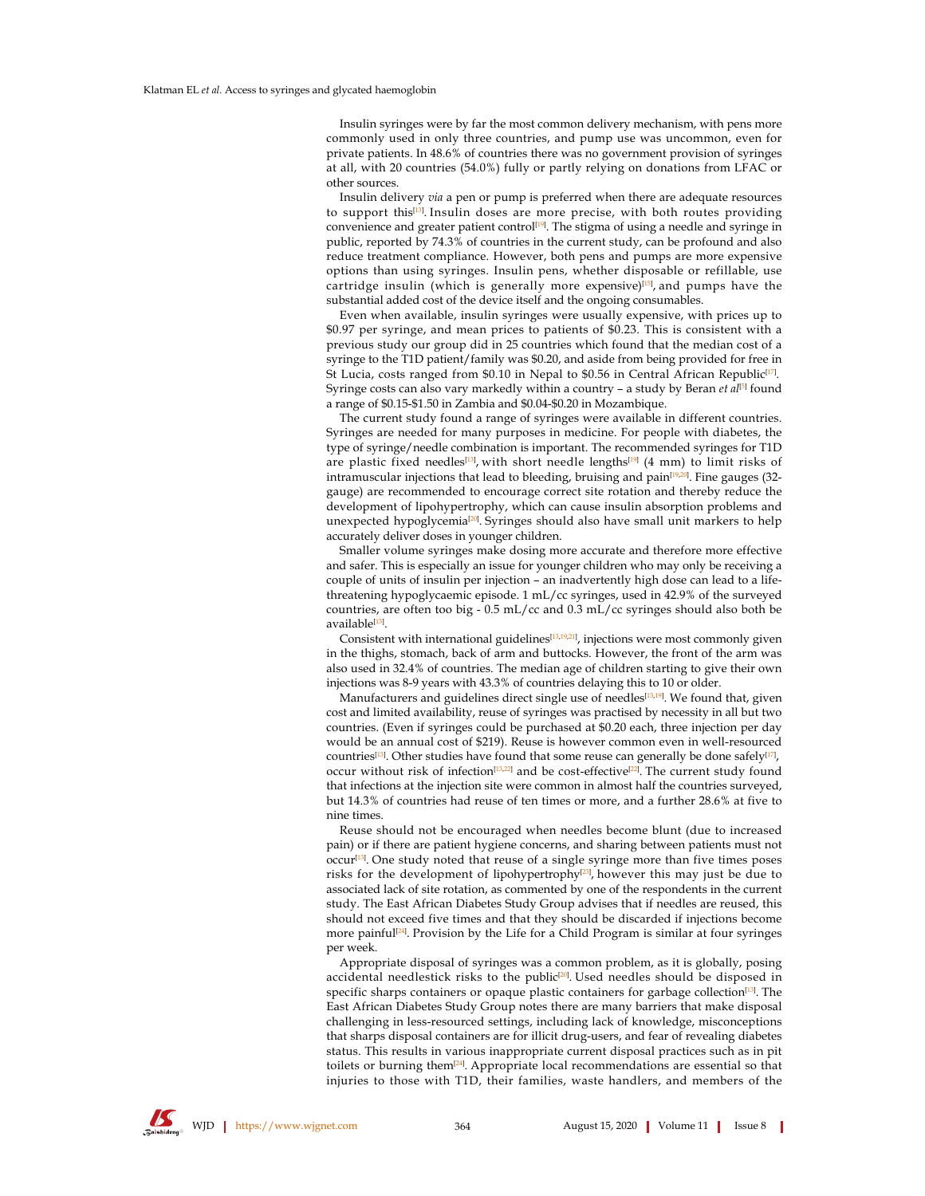Insulin syringes were by far the most common delivery mechanism, with pens more commonly used in only three countries, and pump use was uncommon, even for private patients. In 48.6% of countries there was no government provision of syringes at all, with 20 countries (54.0%) fully or partly relying on donations from LFAC or other sources.

Insulin delivery via a pen or pump is preferred when there are adequate resources to support this<sup>[13]</sup>. Insulin doses are more precise, with both routes providing convenience and greater patient control<sup>[19]</sup>. The stigma of using a needle and syringe in public, reported by  $74.3\%$  of countries in the current study, can be profound and also reduce treatment compliance. However, both pens and pumps are more expensive options than using syringes. Insulin pens, whether disposable or refillable, use cartridge insulin (which is generally more expensive)<sup>[15]</sup>, and pumps have the substantial added cost of the device itself and the ongoing consumables.

Even when available, insulin syringes were usually expensive, with prices up to \$0.97 per syringe, and mean prices to patients of \$0.23. This is consistent with a previous study our group did in 25 countries which found that the median cost of a syringe to the T1D patient/family was \$0.20, and aside from being provided for free in St Lucia, costs ranged from \$0.10 in Nepal to \$0.56 in Central African Republic<sup>[17]</sup>. Syringe costs can also vary markedly within a country - a study by Beran et  $al^{[5]}$  found a range of \$0.15-\$1.50 in Zambia and \$0.04-\$0.20 in Mozambique.

The current study found a range of syringes were available in different countries. Syringes are needed for many purposes in medicine. For people with diabetes, the type of syringe/needle combination is important. The recommended syringes for T1D are plastic fixed needles<sup>[13]</sup>, with short needle lengths<sup>[19]</sup> (4 mm) to limit risks of intramuscular injections that lead to bleeding, bruising and pain<sup>[19,20]</sup>. Fine gauges (32gauge) are recommended to encourage correct site rotation and thereby reduce the development of lipohypertrophy, which can cause insulin absorption problems and unexpected hypoglycemia<sup>[20]</sup>. Syringes should also have small unit markers to help accurately deliver doses in younger children.

Smaller volume syringes make dosing more accurate and therefore more effective and safer. This is especially an issue for younger children who may only be receiving a couple of units of insulin per injection - an inadvertently high dose can lead to a lifethreatening hypoglycaemic episode. 1 mL/cc syringes, used in 42.9% of the surveyed countries, are often too big -  $0.5$  mL/cc and  $0.3$  mL/cc syringes should also both be available<sup>[13]</sup>.

Consistent with international guidelines<sup>[13,19,21</sup>], injections were most commonly given in the thighs, stomach, back of arm and buttocks. However, the front of the arm was also used in 32.4% of countries. The median age of children starting to give their own injections was 8-9 years with 43.3% of countries delaying this to 10 or older.

Manufacturers and guidelines direct single use of needles<sup>[13,19]</sup>. We found that, given cost and limited availability, reuse of syringes was practised by necessity in all but two countries. (Even if syringes could be purchased at \$0.20 each, three injection per day would be an annual cost of \$219). Reuse is however common even in well-resourced countries<sup>[13]</sup>. Other studies have found that some reuse can generally be done safely<sup>[17]</sup>, occur without risk of infection<sup>[13,22]</sup> and be cost-effective<sup>[22]</sup>. The current study found that infections at the injection site were common in almost half the countries surveyed, but 14.3% of countries had reuse of ten times or more, and a further 28.6% at five to nine times.

Reuse should not be encouraged when needles become blunt (due to increased pain) or if there are patient hygiene concerns, and sharing between patients must not occur<sup>[13]</sup>. One study noted that reuse of a single syringe more than five times poses risks for the development of lipohypertrophy<sup>[23]</sup>, however this may just be due to associated lack of site rotation, as commented by one of the respondents in the current study. The East African Diabetes Study Group advises that if needles are reused, this should not exceed five times and that they should be discarded if injections become more painful<sup>[24]</sup>. Provision by the Life for a Child Program is similar at four syringes per week.

Appropriate disposal of syringes was a common problem, as it is globally, posing accidental needlestick risks to the public<sup>[20]</sup>. Used needles should be disposed in specific sharps containers or opaque plastic containers for garbage collection<sup>[13]</sup>. The East African Diabetes Study Group notes there are many barriers that make disposal challenging in less-resourced settings, including lack of knowledge, misconceptions that sharps disposal containers are for illicit drug-users, and fear of revealing diabetes status. This results in various inappropriate current disposal practices such as in pit toilets or burning them<sup>[24]</sup>. Appropriate local recommendations are essential so that injuries to those with T1D, their families, waste handlers, and members of the

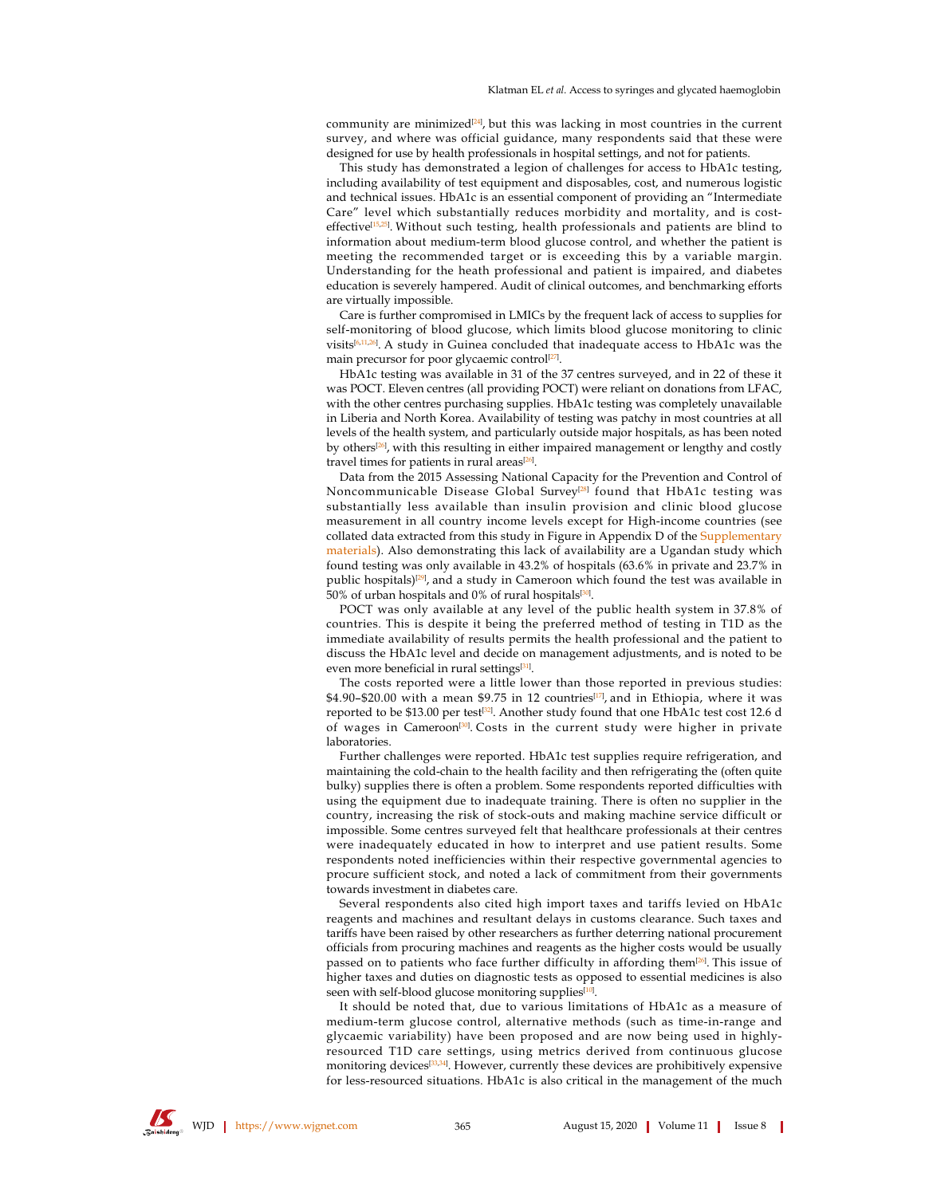community are minimized<sup>[24]</sup>, but this was lacking in most countries in the current survey, and where was official guidance, many respondents said that these were designed for use by health professionals in hospital settings, and not for patients.

This study has demonstrated a legion of challenges for access to HbA1c testing, including availability of test equipment and disposables, cost, and numerous logistic and technical issues. HbA1c is an essential component of providing an "Intermediate Care" level which substantially reduces morbidity and mortality, and is costeffective<sup>[15,25]</sup>. Without such testing, health professionals and patients are blind to information about medium-term blood glucose control, and whether the patient is meeting the recommended target or is exceeding this by a variable margin. Understanding for the heath professional and patient is impaired, and diabetes education is severely hampered. Audit of clinical outcomes, and benchmarking efforts are virtually impossible.

Care is further compromised in LMICs by the frequent lack of access to supplies for self-monitoring of blood glucose, which limits blood glucose monitoring to clinic visits<sup>[6,11,26</sup>]. A study in Guinea concluded that inadequate access to HbA1c was the main precursor for poor glycaemic control<sup>[27]</sup>.

HbA1c testing was available in 31 of the 37 centres surveyed, and in 22 of these it was POCT. Eleven centres (all providing POCT) were reliant on donations from LFAC, with the other centres purchasing supplies. HbA1c testing was completely unavailable in Liberia and North Korea. Availability of testing was patchy in most countries at all levels of the health system, and particularly outside major hospitals, as has been noted by others<sup>[26]</sup>, with this resulting in either impaired management or lengthy and costly travel times for patients in rural areas<sup>[26]</sup>.

Data from the 2015 Assessing National Capacity for the Prevention and Control of Noncommunicable Disease Global Survey<sup>[28]</sup> found that HbA1c testing was substantially less available than insulin provision and clinic blood glucose measurement in all country income levels except for High-income countries (see collated data extracted from this study in Figure in Appendix D of the Supplementary materials). Also demonstrating this lack of availability are a Ugandan study which found testing was only available in 43.2% of hospitals (63.6% in private and 23.7% in public hospitals)<sup>[29]</sup>, and a study in Cameroon which found the test was available in 50% of urban hospitals and 0% of rural hospitals[30].

POCT was only available at any level of the public health system in 37.8% of countries. This is despite it being the preferred method of testing in T1D as the immediate availability of results permits the health professional and the patient to discuss the HbA1c level and decide on management adjustments, and is noted to be even more beneficial in rural settings<sup>[31]</sup>.

The costs reported were a little lower than those reported in previous studies: \$4.90–\$20.00 with a mean \$9.75 in 12 countries<sup>[17]</sup>, and in Ethiopia, where it was reported to be \$13.00 per test $^{\left[32\right]}$ . Another study found that one HbA1c test cost 12.6 d of wages in Cameroon<sup>[30]</sup>.Costs in the current study were higher in private laboratories.

Further challenges were reported. HbA1c test supplies require refrigeration, and maintaining the cold-chain to the health facility and then refrigerating the (often quite bulky) supplies there is often a problem. Some respondents reported difficulties with using the equipment due to inadequate training. There is often no supplier in the country, increasing the risk of stock-outs and making machine service difficult or impossible. Some centres surveyed felt that healthcare professionals at their centres were inadequately educated in how to interpret and use patient results. Some respondents noted inefficiencies within their respective governmental agencies to procure sufficient stock, and noted a lack of commitment from their governments towards investment in diabetes care.

Several respondents also cited high import taxes and tariffs levied on HbA1c reagents and machines and resultant delays in customs clearance. Such taxes and tariffs have been raised by other researchers as further deterring national procurement officials from procuring machines and reagents as the higher costs would be usually passed on to patients who face further difficulty in affording them<sup>[26]</sup>. This issue of higher taxes and duties on diagnostic tests as opposed to essential medicines is also seen with self-blood glucose monitoring supplies<sup>[10]</sup>.

It should be noted that, due to various limitations of HbA1c as a measure of medium-term glucose control, alternative methods (such as time-in-range and glycaemic variability) have been proposed and are now being used in highlyresourced T1D care settings, using metrics derived from continuous glucose monitoring devices<sup>[33,34]</sup>. However, currently these devices are prohibitively expensive for less-resourced situations. HbA1c is also critical in the management of the much

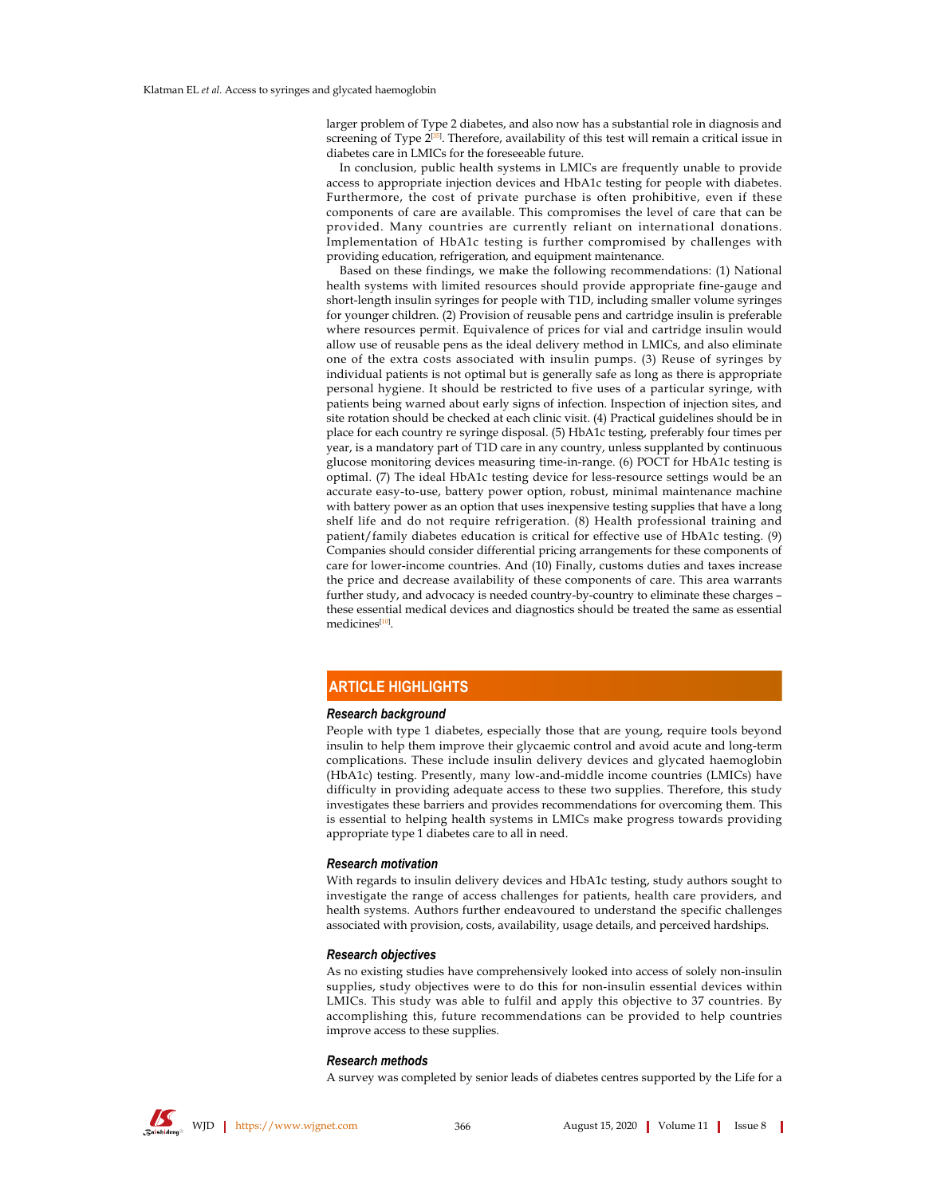larger problem of Type 2 diabetes, and also now has a substantial role in diagnosis and screening of Type 2<sup>[35]</sup>. Therefore, availability of this test will remain a critical issue in diabetes care in LMICs for the foreseeable future.

In conclusion, public health systems in LMICs are frequently unable to provide access to appropriate injection devices and HbA1c testing for people with diabetes. Furthermore, the cost of private purchase is often prohibitive, even if these components of care are available. This compromises the level of care that can be provided. Many countries are currently reliant on international donations. Implementation of HbA1c testing is further compromised by challenges with providing education, refrigeration, and equipment maintenance.

Based on these findings, we make the following recommendations: (1) National health systems with limited resources should provide appropriate fine-gauge and short-length insulin syringes for people with T1D, including smaller volume syringes for younger children. (2) Provision of reusable pens and cartridge insulin is preferable where resources permit. Equivalence of prices for vial and cartridge insulin would allow use of reusable pens as the ideal delivery method in LMICs, and also eliminate one of the extra costs associated with insulin pumps. (3) Reuse of syringes by individual patients is not optimal but is generally safe as long as there is appropriate personal hygiene. It should be restricted to five uses of a particular syringe, with patients being warned about early signs of infection. Inspection of injection sites, and site rotation should be checked at each clinic visit. (4) Practical guidelines should be in place for each country re syringe disposal. (5) HbA1c testing, preferably four times per year, is a mandatory part of T1D care in any country, unless supplanted by continuous glucose monitoring devices measuring time-in-range. (6) POCT for HbA1c testing is optimal. (7) The ideal HbA1c testing device for less-resource settings would be an accurate easy-to-use, battery power option, robust, minimal maintenance machine with battery power as an option that uses inexpensive testing supplies that have a long shelf life and do not require refrigeration. (8) Health professional training and patient/family diabetes education is critical for effective use of HbA1c testing. (9) Companies should consider differential pricing arrangements for these components of care for lower-income countries. And (10) Finally, customs duties and taxes increase the price and decrease availability of these components of care. This area warrants further study, and advocacy is needed country-by-country to eliminate these charges these essential medical devices and diagnostics should be treated the same as essential medicines<sup>[10]</sup>.

# **ARTICLE HIGHLIGHTS**

#### Research background

People with type 1 diabetes, especially those that are young, require tools beyond insulin to help them improve their glycaemic control and avoid acute and long-term complications. These include insulin delivery devices and glycated haemoglobin (HbA1c) testing. Presently, many low-and-middle income countries (LMICs) have difficulty in providing adequate access to these two supplies. Therefore, this study investigates these barriers and provides recommendations for overcoming them. This is essential to helping health systems in LMICs make progress towards providing appropriate type 1 diabetes care to all in need.

#### **Research motivation**

With regards to insulin delivery devices and HbA1c testing, study authors sought to investigate the range of access challenges for patients, health care providers, and health systems. Authors further endeavoured to understand the specific challenges associated with provision, costs, availability, usage details, and perceived hardships.

#### Research objectives

As no existing studies have comprehensively looked into access of solely non-insulin supplies, study objectives were to do this for non-insulin essential devices within LMICs. This study was able to fulfil and apply this objective to 37 countries. By accomplishing this, future recommendations can be provided to help countries improve access to these supplies.

#### Research methods

A survey was completed by senior leads of diabetes centres supported by the Life for a

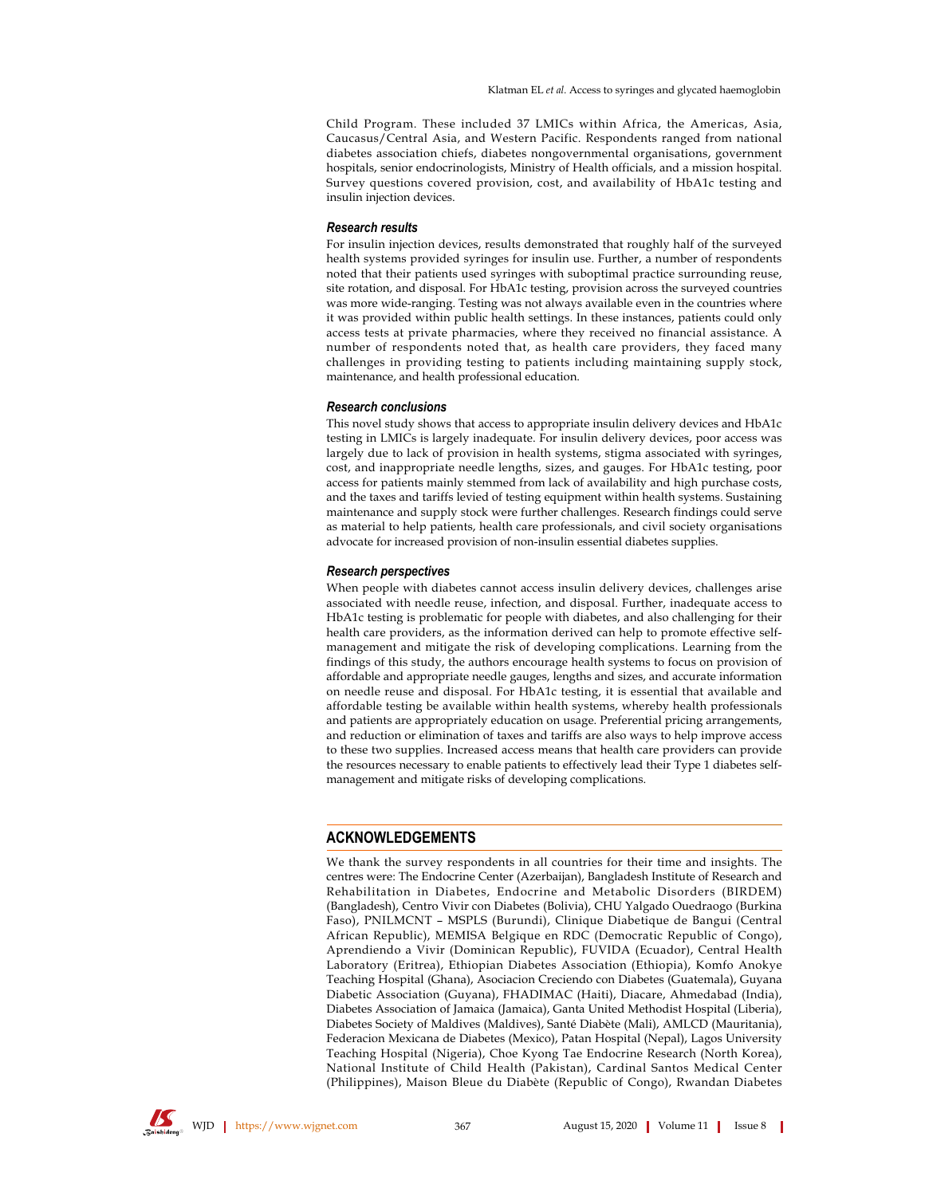Child Program. These included 37 LMICs within Africa, the Americas, Asia, Caucasus/Central Asia, and Western Pacific. Respondents ranged from national diabetes association chiefs, diabetes nongovernmental organisations, government hospitals, senior endocrinologists, Ministry of Health officials, and a mission hospital. Survey questions covered provision, cost, and availability of HbA1c testing and insulin injection devices.

#### **Research results**

For insulin injection devices, results demonstrated that roughly half of the surveyed health systems provided syringes for insulin use. Further, a number of respondents noted that their patients used syringes with suboptimal practice surrounding reuse, site rotation, and disposal. For HbA1c testing, provision across the surveyed countries was more wide-ranging. Testing was not always available even in the countries where it was provided within public health settings. In these instances, patients could only access tests at private pharmacies, where they received no financial assistance. A number of respondents noted that, as health care providers, they faced many challenges in providing testing to patients including maintaining supply stock, maintenance, and health professional education.

#### **Research conclusions**

This novel study shows that access to appropriate insulin delivery devices and HbA1c testing in LMICs is largely inadequate. For insulin delivery devices, poor access was largely due to lack of provision in health systems, stigma associated with syringes, cost, and inappropriate needle lengths, sizes, and gauges. For HbA1c testing, poor access for patients mainly stemmed from lack of availability and high purchase costs, and the taxes and tariffs levied of testing equipment within health systems. Sustaining maintenance and supply stock were further challenges. Research findings could serve as material to help patients, health care professionals, and civil society organisations advocate for increased provision of non-insulin essential diabetes supplies.

#### **Research perspectives**

When people with diabetes cannot access insulin delivery devices, challenges arise associated with needle reuse, infection, and disposal. Further, inadequate access to HbA1c testing is problematic for people with diabetes, and also challenging for their health care providers, as the information derived can help to promote effective selfmanagement and mitigate the risk of developing complications. Learning from the findings of this study, the authors encourage health systems to focus on provision of affordable and appropriate needle gauges, lengths and sizes, and accurate information on needle reuse and disposal. For HbA1c testing, it is essential that available and affordable testing be available within health systems, whereby health professionals and patients are appropriately education on usage. Preferential pricing arrangements, and reduction or elimination of taxes and tariffs are also ways to help improve access to these two supplies. Increased access means that health care providers can provide the resources necessary to enable patients to effectively lead their Type 1 diabetes selfmanagement and mitigate risks of developing complications.

## **ACKNOWLEDGEMENTS**

We thank the survey respondents in all countries for their time and insights. The centres were: The Endocrine Center (Azerbaijan), Bangladesh Institute of Research and Rehabilitation in Diabetes, Endocrine and Metabolic Disorders (BIRDEM) (Bangladesh), Centro Vivir con Diabetes (Bolivia), CHU Yalgado Ouedraogo (Burkina Faso), PNILMCNT - MSPLS (Burundi), Clinique Diabetique de Bangui (Central African Republic), MEMISA Belgique en RDC (Democratic Republic of Congo), Aprendiendo a Vivir (Dominican Republic), FUVIDA (Ecuador), Central Health Laboratory (Eritrea), Ethiopian Diabetes Association (Ethiopia), Komfo Anokye Teaching Hospital (Ghana), Asociacion Creciendo con Diabetes (Guatemala), Guyana Diabetic Association (Guyana), FHADIMAC (Haiti), Diacare, Ahmedabad (India), Diabetes Association of Jamaica (Jamaica), Ganta United Methodist Hospital (Liberia), Diabetes Society of Maldives (Maldives), Santé Diabète (Mali), AMLCD (Mauritania), Federacion Mexicana de Diabetes (Mexico), Patan Hospital (Nepal), Lagos University Teaching Hospital (Nigeria), Choe Kyong Tae Endocrine Research (North Korea), National Institute of Child Health (Pakistan), Cardinal Santos Medical Center (Philippines), Maison Bleue du Diabète (Republic of Congo), Rwandan Diabetes



**IS WJD** | https://www.wjgnet.com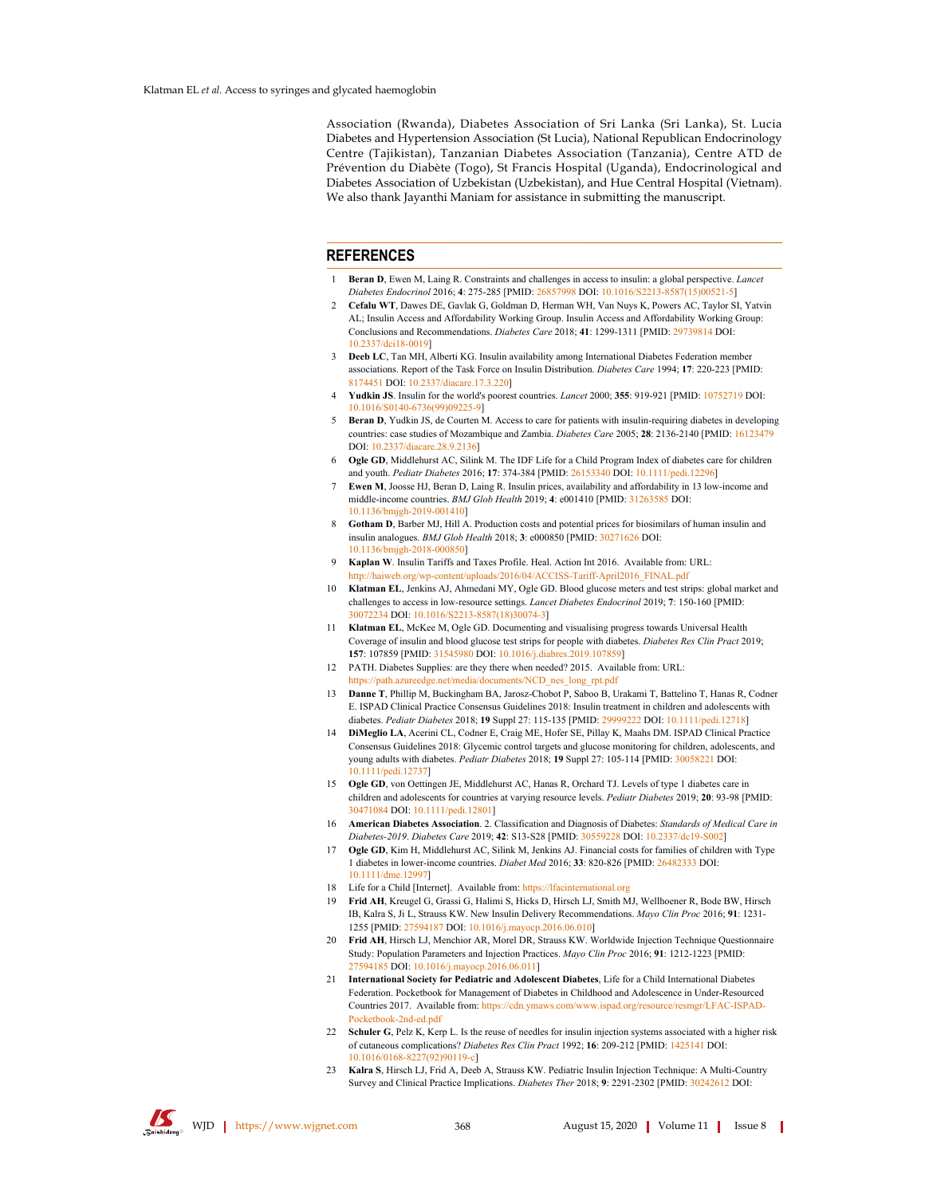Association (Rwanda), Diabetes Association of Sri Lanka (Sri Lanka), St. Lucia Diabetes and Hypertension Association (St Lucia), National Republican Endocrinology Centre (Tajikistan), Tanzanian Diabetes Association (Tanzania), Centre ATD de Prévention du Diabète (Togo), St Francis Hospital (Uganda), Endocrinological and Diabetes Association of Uzbekistan (Uzbekistan), and Hue Central Hospital (Vietnam). We also thank Jayanthi Maniam for assistance in submitting the manuscript.

#### **REFERENCES**

- **Beran D** Ewen M. Laing R. Constraints and challenges in access to insuling a global perspective *Lances* Diabetes Endocrinol 2016; 4: 275-285 [PMID: 26857998 DOI: 10.1016/S2213-8587(15)00521-5]
- 2 Cefalu WT, Dawes DE, Gavlak G, Goldman D, Herman WH, Van Nuys K, Powers AC, Taylor SI, Yatvin AL; Insulin Access and Affordability Working Group. Insulin Access and Affordability Working Group: Conclusions and Recommendations. Diabetes Care 2018; 41: 1299-1311 [PMID: 29739814 DOI: 10.2337/dci18-00191
- 3 Deeb LC, Tan MH, Alberti KG. Insulin availability among International Diabetes Federation member associations. Report of the Task Force on Insulin Distribution. Diabetes Care 1994; 17: 220-223 [PMID: 8174451 DOI: 10.2337/diacare.17.3.2201
- Yudkin JS. Insulin for the world's poorest countries. *Lancet* 2000; 355: 919-921 [PMID: 10752719 DOI: 10.1016/S0140-6736(99)09225-91
- Beran D, Yudkin JS, de Courten M. Access to care for patients with insulin-requiring diabetes in developing countries: case studies of Mozambique and Zambia. Diabetes Care 2005; 28: 2136-2140 [PMID: 16123479 DOI: 10.2337/diacare.28.9.2136]
- 6 Ogle GD, Middlehurst AC, Silink M. The IDF Life for a Child Program Index of diabetes care for children and youth. Pediatr Diabetes 2016; 17: 374-384 [PMID: 26153340 DOI: 10.1111/pedi.12296]
- Ewen M, Joosse HJ, Beran D, Laing R. Insulin prices, availability and affordability in 13 low-income and middle-income countries. *BMJ Glob Health* 2019: 4: e001410 [PMID: 31263585 DOI: 10.1136/bmigh-2019-0014101
- Gotham D, Barber MJ, Hill A. Production costs and potential prices for biosimilars of human insulin and insulin analogues. BMJ Glob Health 2018; 3: e000850 [PMID: 30271626 DOI: 10.1136/bmjgh-2018-000850]
- Kaplan W. Insulin Tariffs and Taxes Profile. Heal. Action Int 2016. Available from: URL: http://haiweb.org/wp-content/uploads/2016/04/ACCISS-Tariff-April2016\_FINAL.pdf
- Klatman EL, Jenkins AJ, Ahmedani MY, Ogle GD. Blood glucose meters and test strips: global market and 10 challenges to access in low-resource settings. Lancet Diabetes Endocrinol 2019; 7: 150-160 [PMID: 30072234 DOI: 10.1016/S2213-8587(18)30074-31
- 11 Klatman EL, McKee M, Ogle GD. Documenting and visualising progress towards Universal Health Coverage of insulin and blood glucose test strips for people with diabetes. Diabetes Res Clin Pract 2019; 157: 107859 [PMID: 31545980 DOI: 10.1016/j.diabres.2019.107859]
- 12 PATH. Diabetes Supplies: are they there when needed? 2015. Available from: URL: https://path.azureedge.net/media/documents/NCD\_nes\_long\_rpt.pdf
- 13 Danne T, Phillip M, Buckingham BA, Jarosz-Chobot P, Saboo B, Urakami T, Battelino T, Hanas R, Codner E. ISPAD Clinical Practice Consensus Guidelines 2018: Insulin treatment in children and adolescents with diabetes. Pediatr Diabetes 2018; 19 Suppl 27: 115-135 [PMID: 29999222 DOI: 10.1111/pedi.12718]
- 14 DiMeglio LA, Acerini CL, Codner E, Craig ME, Hofer SE, Pillay K, Maahs DM. ISPAD Clinical Practice Consensus Guidelines 2018: Glycemic control targets and glucose monitoring for children, adolescents, and young adults with diabetes. Pediatr Diabetes 2018; 19 Suppl 27: 105-114 [PMID: 30058221 DOI: 10.1111/pedi.127371
- 15 Ogle GD, von Oettingen JE, Middlehurst AC, Hanas R, Orchard TJ. Levels of type 1 diabetes care in children and adolescents for countries at varying resource levels. Pediatr Diabetes 2019; 20: 93-98 [PMID: 30471084 DOI: 10.1111/pedi.128011
- 16 American Diabetes Association. 2. Classification and Diagnosis of Diabetes: Standards of Medical Care in Diabetes-2019. Diabetes Care 2019; 42: S13-S28 [PMID: 30559228 DOI: 10.2337/dc19-S002]
- 17 Ogle GD, Kim H, Middlehurst AC, Silink M, Jenkins AJ. Financial costs for families of children with Type 1 diabetes in lower-income countries. Diabet Med 2016; 33: 820-826 [PMID: 26482333 DOI: 10.1111/dme.12997]
- 18 Life for a Child [Internet]. Available from: https://lfacinternational.org
- Frid AH, Kreugel G, Grassi G, Halimi S, Hicks D, Hirsch LJ, Smith MJ, Wellhoener R, Bode BW, Hirsch IB. Kalra S. Ji L. Strauss KW. New Insulin Delivery Recommendations. Mayo Clin Proc 2016: 91: 1231-1255 [PMID: 27594187 DOI: 10.1016/j.mayocp.2016.06.010]
- Frid AH, Hirsch LJ, Menchior AR, Morel DR, Strauss KW. Worldwide Injection Technique Questionnaire 20 Study: Population Parameters and Injection Practices. Mayo Clin Proc 2016: 91: 1212-1223 [PMID: 27594185 DOI: 10.1016/j.mayocp.2016.06.011]
- 21 International Society for Pediatric and Adolescent Diabetes, Life for a Child International Diabetes Federation. Pocketbook for Management of Diabetes in Childhood and Adolescence in Under-Resourced Countries 2017. Available from: https://cdn.ymaws.com/www.ispad.org/resource/resmgr/LFAC-ISPAD-Pocketbook-2nd-ed pdf
- 22 Schuler G, Pelz K, Kerp L. Is the reuse of needles for insulin injection systems associated with a higher risk of cutaneous complications? Diabetes Res Clin Pract 1992: 16: 209-212 [PMID: 1425141 DOI: 10.1016/0168-8227(92)90119-cl
- 23 Kalra S, Hirsch LJ, Frid A, Deeb A, Strauss KW. Pediatric Insulin Injection Technique: A Multi-Country Survey and Clinical Practice Implications. Diabetes Ther 2018; 9: 2291-2302 [PMID: 30242612 DOI: